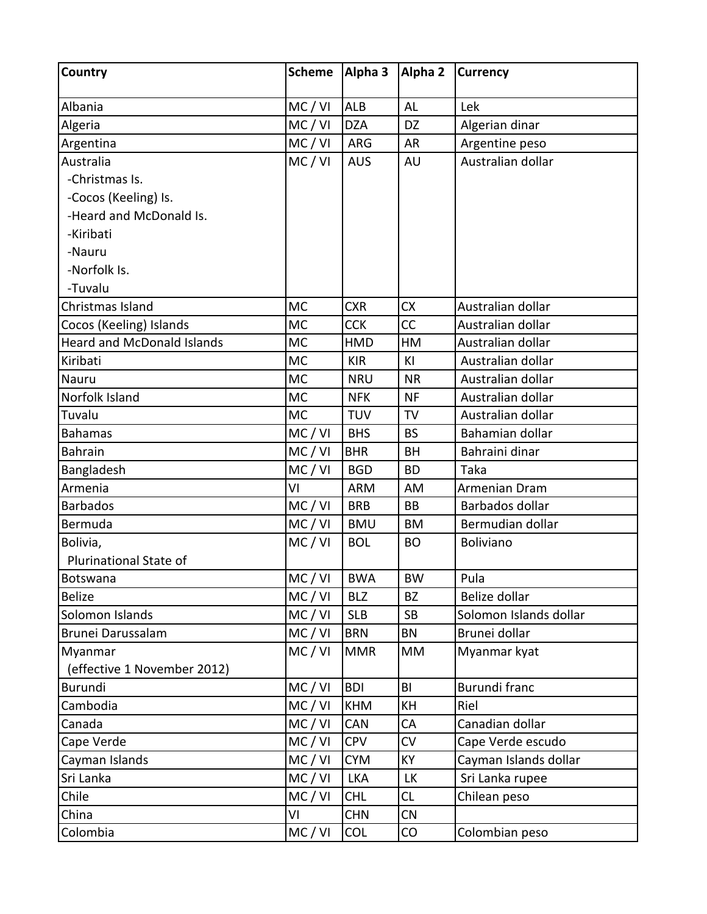| Country                           | <b>Scheme</b> | Alpha 3    | Alpha 2   | <b>Currency</b>        |
|-----------------------------------|---------------|------------|-----------|------------------------|
| Albania                           | MC / VI       | <b>ALB</b> | AL        | Lek                    |
| Algeria                           | MC / VI       | <b>DZA</b> | DZ        | Algerian dinar         |
| Argentina                         | MC / VI       | ARG        | <b>AR</b> | Argentine peso         |
| Australia                         | MC/VI         | <b>AUS</b> | AU        | Australian dollar      |
| -Christmas Is.                    |               |            |           |                        |
| -Cocos (Keeling) Is.              |               |            |           |                        |
| -Heard and McDonald Is.           |               |            |           |                        |
| -Kiribati                         |               |            |           |                        |
| -Nauru                            |               |            |           |                        |
| -Norfolk Is.                      |               |            |           |                        |
| -Tuvalu                           |               |            |           |                        |
| Christmas Island                  | <b>MC</b>     | <b>CXR</b> | <b>CX</b> | Australian dollar      |
| Cocos (Keeling) Islands           | <b>MC</b>     | <b>CCK</b> | CC        | Australian dollar      |
| <b>Heard and McDonald Islands</b> | <b>MC</b>     | HMD        | HM        | Australian dollar      |
| Kiribati                          | <b>MC</b>     | <b>KIR</b> | KI        | Australian dollar      |
| Nauru                             | <b>MC</b>     | <b>NRU</b> | <b>NR</b> | Australian dollar      |
| Norfolk Island                    | <b>MC</b>     | <b>NFK</b> | <b>NF</b> | Australian dollar      |
| Tuvalu                            | <b>MC</b>     | <b>TUV</b> | <b>TV</b> | Australian dollar      |
| <b>Bahamas</b>                    | MC / VI       | <b>BHS</b> | <b>BS</b> | Bahamian dollar        |
| <b>Bahrain</b>                    | MC / VI       | <b>BHR</b> | <b>BH</b> | Bahraini dinar         |
| Bangladesh                        | MC / VI       | <b>BGD</b> | <b>BD</b> | Taka                   |
| Armenia                           | VI            | <b>ARM</b> | AM        | Armenian Dram          |
| <b>Barbados</b>                   | MC / VI       | <b>BRB</b> | <b>BB</b> | Barbados dollar        |
| Bermuda                           | MC / VI       | <b>BMU</b> | <b>BM</b> | Bermudian dollar       |
| Bolivia,                          | MC / VI       | <b>BOL</b> | <b>BO</b> | Boliviano              |
| Plurinational State of            |               |            |           |                        |
| Botswana                          | MC/VI         | <b>BWA</b> | <b>BW</b> | Pula                   |
| <b>Belize</b>                     | MC/VI         | <b>BLZ</b> | BZ        | Belize dollar          |
| Solomon Islands                   | MC / VI       | <b>SLB</b> | <b>SB</b> | Solomon Islands dollar |
| Brunei Darussalam                 | MC / VI       | <b>BRN</b> | <b>BN</b> | Brunei dollar          |
| Myanmar                           | MC / VI       | <b>MMR</b> | <b>MM</b> | Myanmar kyat           |
| (effective 1 November 2012)       |               |            |           |                        |
| <b>Burundi</b>                    | MC / VI       | <b>BDI</b> | BI        | <b>Burundi franc</b>   |
| Cambodia                          | MC / VI       | <b>KHM</b> | KH        | Riel                   |
| Canada                            | MC / VI       | CAN        | CA        | Canadian dollar        |
| Cape Verde                        | MC/VI         | <b>CPV</b> | CV        | Cape Verde escudo      |
| Cayman Islands                    | MC/VI         | <b>CYM</b> | <b>KY</b> | Cayman Islands dollar  |
| Sri Lanka                         | MC / VI       | <b>LKA</b> | <b>LK</b> | Sri Lanka rupee        |
| Chile                             | MC / VI       | <b>CHL</b> | CL        | Chilean peso           |
| China                             | VI            | <b>CHN</b> | CN        |                        |
| Colombia                          | MC / VI       | <b>COL</b> | CO        | Colombian peso         |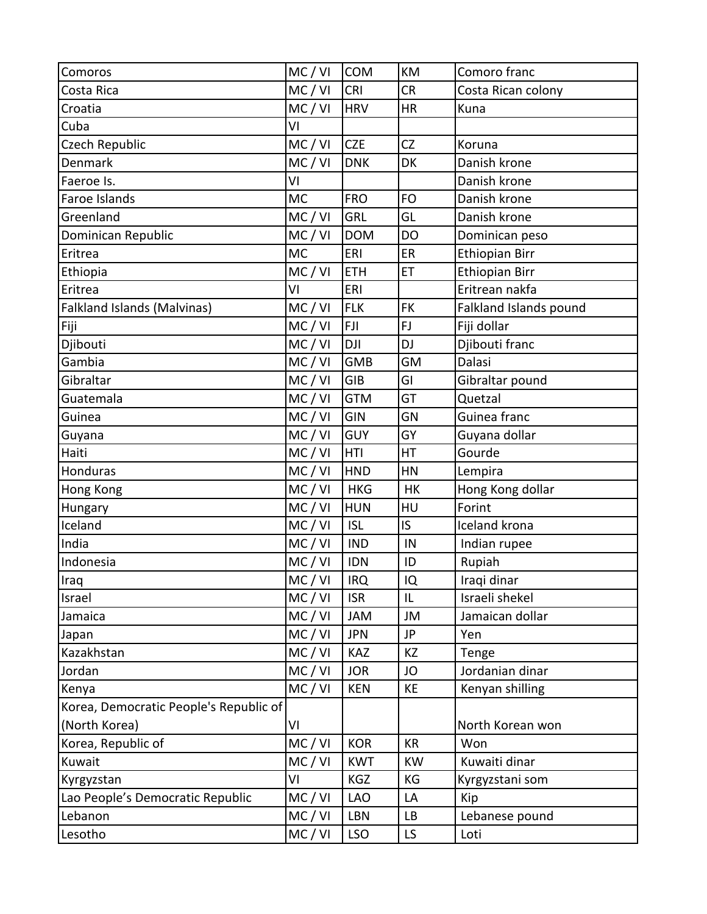| Comoros                                | MC / VI   | <b>COM</b> | KM        | Comoro franc           |
|----------------------------------------|-----------|------------|-----------|------------------------|
| Costa Rica                             | MC/VI     | <b>CRI</b> | <b>CR</b> | Costa Rican colony     |
| Croatia                                | MC/VI     | <b>HRV</b> | <b>HR</b> | Kuna                   |
| Cuba                                   | VI        |            |           |                        |
| <b>Czech Republic</b>                  | MC/VI     | <b>CZE</b> | CZ        | Koruna                 |
| Denmark                                | MC / VI   | <b>DNK</b> | DK        | Danish krone           |
| Faeroe Is.                             | VI        |            |           | Danish krone           |
| Faroe Islands                          | <b>MC</b> | <b>FRO</b> | <b>FO</b> | Danish krone           |
| Greenland                              | MC/VI     | GRL        | GL        | Danish krone           |
| Dominican Republic                     | MC/VI     | <b>DOM</b> | <b>DO</b> | Dominican peso         |
| Eritrea                                | <b>MC</b> | ERI        | ER        | <b>Ethiopian Birr</b>  |
| Ethiopia                               | MC/VI     | <b>ETH</b> | ET        | <b>Ethiopian Birr</b>  |
| Eritrea                                | VI        | ERI        |           | Eritrean nakfa         |
| Falkland Islands (Malvinas)            | MC / VI   | <b>FLK</b> | <b>FK</b> | Falkland Islands pound |
| Fiji                                   | MC/VI     | <b>FJI</b> | FJ        | Fiji dollar            |
| Djibouti                               | MC/VI     | <b>DJI</b> | <b>DJ</b> | Djibouti franc         |
| Gambia                                 | MC/VI     | <b>GMB</b> | GM        | Dalasi                 |
| Gibraltar                              | MC/VI     | <b>GIB</b> | GI        | Gibraltar pound        |
| Guatemala                              | MC/VI     | <b>GTM</b> | GT        | Quetzal                |
| Guinea                                 | MC / VI   | GIN        | GN        | Guinea franc           |
| Guyana                                 | MC/VI     | <b>GUY</b> | GY        | Guyana dollar          |
| Haiti                                  | MC/VI     | <b>HTI</b> | HT        | Gourde                 |
| Honduras                               | MC/VI     | <b>HND</b> | HN        | Lempira                |
| Hong Kong                              | MC / VI   | <b>HKG</b> | <b>HK</b> | Hong Kong dollar       |
| Hungary                                | MC/VI     | <b>HUN</b> | HU        | Forint                 |
| Iceland                                | MC/VI     | <b>ISL</b> | IS.       | <b>Iceland krona</b>   |
| India                                  | MC/VI     | <b>IND</b> | IN        | Indian rupee           |
| Indonesia                              | MC / VI   | <b>IDN</b> | ID        | Rupiah                 |
| Iraq                                   | MC/VI     | <b>IRQ</b> | IQ        | Iraqi dinar            |
| Israel                                 | MC/VI     | <b>ISR</b> | IL        | Israeli shekel         |
| Jamaica                                | MC / VI   | JAM        | JM        | Jamaican dollar        |
| Japan                                  | MC / VI   | <b>JPN</b> | JP        | Yen                    |
| Kazakhstan                             | MC/VI     | <b>KAZ</b> | KZ        | Tenge                  |
| Jordan                                 | MC/VI     | <b>JOR</b> | JO        | Jordanian dinar        |
| Kenya                                  | MC/VI     | <b>KEN</b> | KE        | Kenyan shilling        |
| Korea, Democratic People's Republic of |           |            |           |                        |
| (North Korea)                          | VI        |            |           | North Korean won       |
| Korea, Republic of                     | MC / VI   | <b>KOR</b> | <b>KR</b> | Won                    |
| Kuwait                                 | MC / VI   | <b>KWT</b> | <b>KW</b> | Kuwaiti dinar          |
| Kyrgyzstan                             | VI        | KGZ        | ΚG        | Kyrgyzstani som        |
| Lao People's Democratic Republic       | MC / VI   | <b>LAO</b> | LA        | Kip                    |
| Lebanon                                | MC / VI   | LBN        | <b>LB</b> | Lebanese pound         |
| Lesotho                                | MC / VI   | <b>LSO</b> | LS        | Loti                   |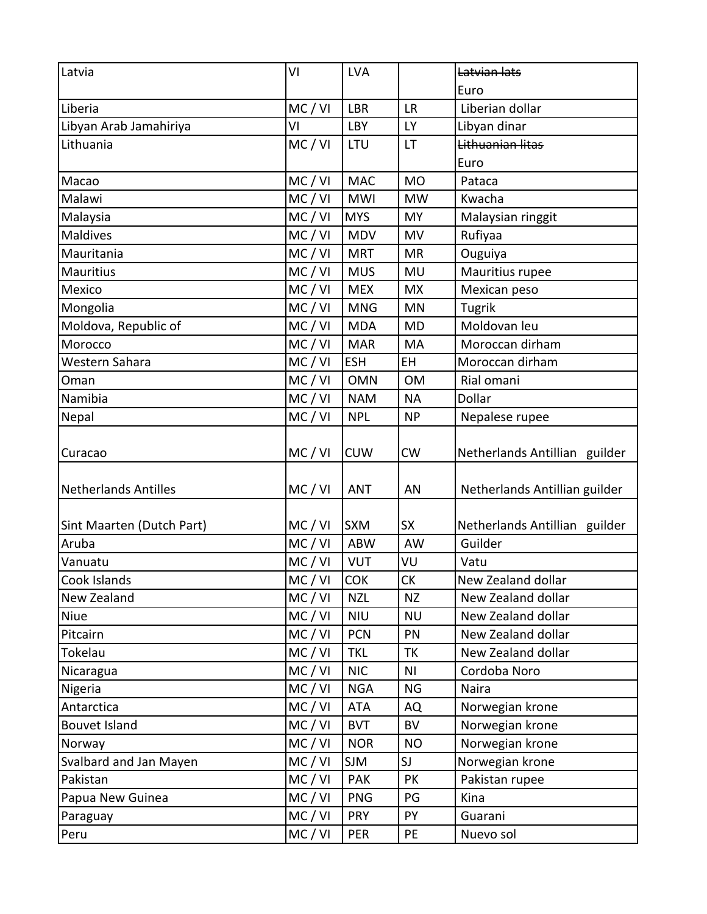| Latvia                      | VI        | <b>LVA</b> |           | Latvian lats                  |
|-----------------------------|-----------|------------|-----------|-------------------------------|
|                             |           |            |           | Euro                          |
| Liberia                     | MC/VI     | <b>LBR</b> | <b>LR</b> | Liberian dollar               |
| Libyan Arab Jamahiriya      | ٧I        | <b>LBY</b> | <b>LY</b> | Libyan dinar                  |
| Lithuania                   | MC / VI   | LTU        | <b>LT</b> | Lithuanian litas              |
|                             |           |            |           | Euro                          |
| Macao                       | MC/VI     | <b>MAC</b> | <b>MO</b> | Pataca                        |
| Malawi                      | MC/VI     | <b>MWI</b> | <b>MW</b> | Kwacha                        |
| Malaysia                    | MC / VI   | <b>MYS</b> | <b>MY</b> | Malaysian ringgit             |
| Maldives                    | MC / VI   | <b>MDV</b> | MV        | Rufiyaa                       |
| Mauritania                  | MC/VI     | <b>MRT</b> | <b>MR</b> | Ouguiya                       |
| <b>Mauritius</b>            | MC/VI     | <b>MUS</b> | MU        | Mauritius rupee               |
| Mexico                      | MC/VI     | <b>MEX</b> | <b>MX</b> | Mexican peso                  |
| Mongolia                    | MC / VI   | <b>MNG</b> | MN        | Tugrik                        |
| Moldova, Republic of        | MC/VI     | <b>MDA</b> | <b>MD</b> | Moldovan leu                  |
| Morocco                     | MC / VI   | <b>MAR</b> | MA        | Moroccan dirham               |
| Western Sahara              | MC/VI     | <b>ESH</b> | EH        | Moroccan dirham               |
| Oman                        | MC/VI     | <b>OMN</b> | <b>OM</b> | Rial omani                    |
| Namibia                     | MC/VI     | <b>NAM</b> | <b>NA</b> | Dollar                        |
| Nepal                       | MC/VI     | <b>NPL</b> | <b>NP</b> | Nepalese rupee                |
| Curacao                     | MC/VI     | <b>CUW</b> | <b>CW</b> | Netherlands Antillian guilder |
| <b>Netherlands Antilles</b> | MC / VI   | <b>ANT</b> | AN        | Netherlands Antillian guilder |
| Sint Maarten (Dutch Part)   | MC/VI     | <b>SXM</b> | <b>SX</b> | Netherlands Antillian guilder |
| Aruba                       | MC/VI     | <b>ABW</b> | AW        | Guilder                       |
| Vanuatu                     | MC/VI     | <b>VUT</b> | VU        | Vatu                          |
| Cook Islands                | MC/VI COK |            | CK        | New Zealand dollar            |
| New Zealand                 | MC / VI   | <b>NZL</b> | <b>NZ</b> | New Zealand dollar            |
| Niue                        | MC / VI   | <b>NIU</b> | <b>NU</b> | New Zealand dollar            |
| Pitcairn                    | MC / VI   | <b>PCN</b> | PN        | New Zealand dollar            |
| Tokelau                     | MC / VI   | <b>TKL</b> | <b>TK</b> | New Zealand dollar            |
| Nicaragua                   | MC / VI   | <b>NIC</b> | ΝI        | Cordoba Noro                  |
| Nigeria                     | MC / VI   | <b>NGA</b> | <b>NG</b> | Naira                         |
| Antarctica                  | MC / VI   | <b>ATA</b> | AQ        | Norwegian krone               |
| <b>Bouvet Island</b>        | MC / VI   | <b>BVT</b> | <b>BV</b> | Norwegian krone               |
| Norway                      | MC / VI   | <b>NOR</b> | <b>NO</b> | Norwegian krone               |
| Svalbard and Jan Mayen      | MC / VI   | <b>SJM</b> | SJ        | Norwegian krone               |
| Pakistan                    | MC / VI   | <b>PAK</b> | PK        | Pakistan rupee                |
| Papua New Guinea            | MC / VI   | <b>PNG</b> | PG        | Kina                          |
| Paraguay                    | MC / VI   | <b>PRY</b> | PY        | Guarani                       |
| Peru                        | MC / VI   | PER        | PE        | Nuevo sol                     |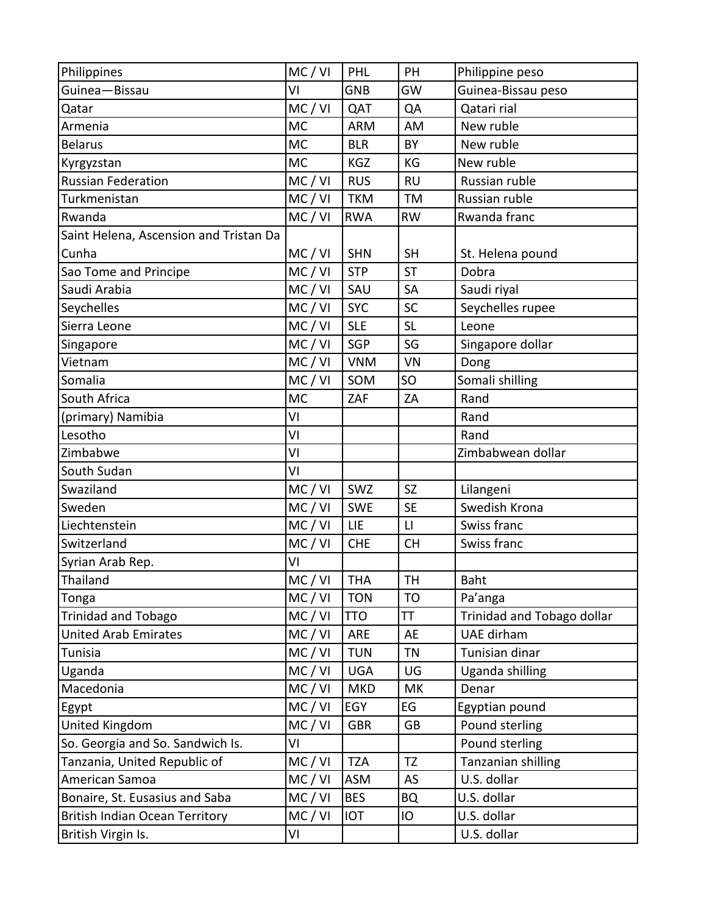| Philippines                            | MC / VI   | PHL        | PH                     | Philippine peso            |
|----------------------------------------|-----------|------------|------------------------|----------------------------|
| Guinea-Bissau                          | VI        | <b>GNB</b> | GW                     | Guinea-Bissau peso         |
| Qatar                                  | MC / VI   | QAT        | QA                     | Qatari rial                |
| Armenia                                | <b>MC</b> | <b>ARM</b> | AM                     | New ruble                  |
| <b>Belarus</b>                         | <b>MC</b> | <b>BLR</b> | BY                     | New ruble                  |
| Kyrgyzstan                             | <b>MC</b> | <b>KGZ</b> | KG                     | New ruble                  |
| <b>Russian Federation</b>              | MC/VI     | <b>RUS</b> | <b>RU</b>              | Russian ruble              |
| Turkmenistan                           | MC/VI     | <b>TKM</b> | <b>TM</b>              | Russian ruble              |
| Rwanda                                 | MC / VI   | <b>RWA</b> | <b>RW</b>              | Rwanda franc               |
| Saint Helena, Ascension and Tristan Da |           |            |                        |                            |
| Cunha                                  | MC / VI   | <b>SHN</b> | <b>SH</b>              | St. Helena pound           |
| Sao Tome and Principe                  | MC/VI     | <b>STP</b> | <b>ST</b>              | Dobra                      |
| Saudi Arabia                           | MC/VI     | SAU        | <b>SA</b>              | Saudi riyal                |
| Seychelles                             | MC/VI     | <b>SYC</b> | <b>SC</b>              | Seychelles rupee           |
| Sierra Leone                           | MC/VI     | <b>SLE</b> | <b>SL</b>              | Leone                      |
| Singapore                              | MC/VI     | SGP        | SG                     | Singapore dollar           |
| Vietnam                                | MC/VI     | <b>VNM</b> | VN                     | Dong                       |
| Somalia                                | MC/VI     | SOM        | SO                     | Somali shilling            |
| South Africa                           | <b>MC</b> | ZAF        | ZA                     | Rand                       |
| (primary) Namibia                      | VI        |            |                        | Rand                       |
| Lesotho                                | VI        |            |                        | Rand                       |
| Zimbabwe                               | VI        |            |                        | Zimbabwean dollar          |
| South Sudan                            | VI        |            |                        |                            |
| Swaziland                              | MC / VI   | SWZ        | <b>SZ</b>              | Lilangeni                  |
| Sweden                                 | MC/VI     | <b>SWE</b> | <b>SE</b>              | Swedish Krona              |
| Liechtenstein                          | MC / VI   | LIE        | $\mathsf{L}\mathsf{I}$ | Swiss franc                |
| Switzerland                            | MC / VI   | <b>CHE</b> | <b>CH</b>              | Swiss franc                |
| Syrian Arab Rep.                       | VI        |            |                        |                            |
| Thailand                               | MC/VI     | <b>THA</b> | TH                     | Baht                       |
| Tonga                                  | MC / VI   | <b>TON</b> | T <sub>O</sub>         | Pa'anga                    |
| <b>Trinidad and Tobago</b>             | MC / VI   | <b>TTO</b> | TT                     | Trinidad and Tobago dollar |
| <b>United Arab Emirates</b>            | MC / VI   | ARE        | AE                     | UAE dirham                 |
| Tunisia                                | MC/VI     | <b>TUN</b> | <b>TN</b>              | Tunisian dinar             |
| Uganda                                 | MC / VI   | <b>UGA</b> | UG                     | Uganda shilling            |
| Macedonia                              | MC / VI   | <b>MKD</b> | МK                     | Denar                      |
| Egypt                                  | MC/VI     | EGY        | EG                     | Egyptian pound             |
| <b>United Kingdom</b>                  | MC / VI   | <b>GBR</b> | GB                     | Pound sterling             |
| So. Georgia and So. Sandwich Is.       | VI        |            |                        | Pound sterling             |
| Tanzania, United Republic of           | MC / VI   | <b>TZA</b> | TZ                     | Tanzanian shilling         |
| American Samoa                         | MC / VI   | <b>ASM</b> | AS                     | U.S. dollar                |
| Bonaire, St. Eusasius and Saba         | MC / VI   | <b>BES</b> | <b>BQ</b>              | U.S. dollar                |
| <b>British Indian Ocean Territory</b>  | MC/VI     | <b>IOT</b> | IO                     | U.S. dollar                |
| British Virgin Is.                     | VI        |            |                        | U.S. dollar                |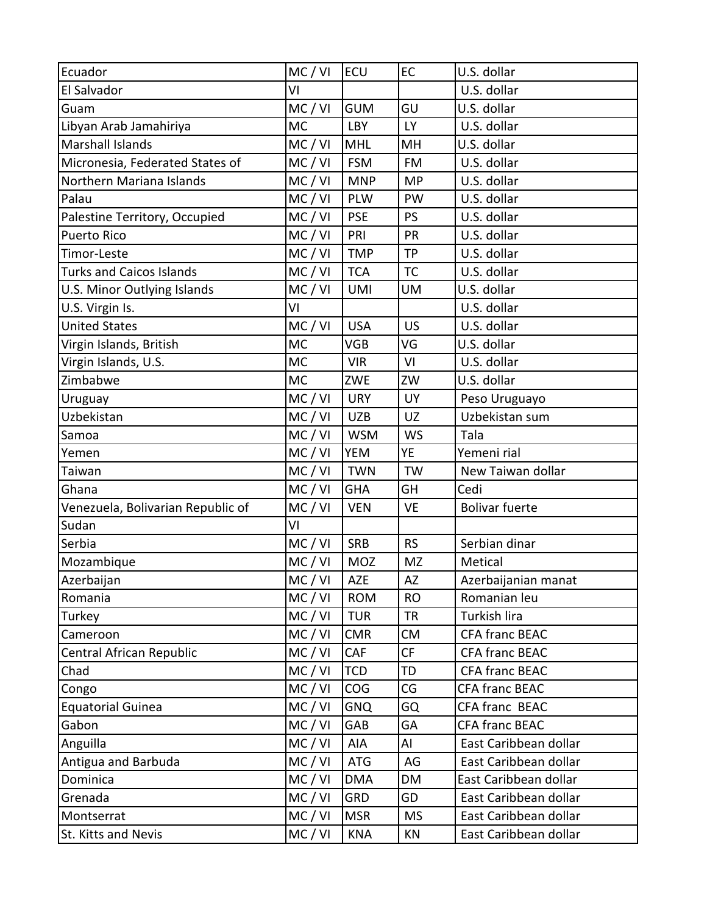| Ecuador                           | MC / VI   | <b>ECU</b> | EC        | U.S. dollar           |
|-----------------------------------|-----------|------------|-----------|-----------------------|
| El Salvador                       | ٧I        |            |           | U.S. dollar           |
| Guam                              | MC/VI     | <b>GUM</b> | GU        | U.S. dollar           |
| Libyan Arab Jamahiriya            | <b>MC</b> | <b>LBY</b> | <b>LY</b> | U.S. dollar           |
| <b>Marshall Islands</b>           | MC/VI     | <b>MHL</b> | MH        | U.S. dollar           |
| Micronesia, Federated States of   | MC / VI   | <b>FSM</b> | <b>FM</b> | U.S. dollar           |
| Northern Mariana Islands          | MC/VI     | <b>MNP</b> | <b>MP</b> | U.S. dollar           |
| Palau                             | MC/VI     | <b>PLW</b> | PW        | U.S. dollar           |
| Palestine Territory, Occupied     | MC/VI     | <b>PSE</b> | <b>PS</b> | U.S. dollar           |
| <b>Puerto Rico</b>                | MC / VI   | PRI        | PR        | U.S. dollar           |
| Timor-Leste                       | MC/VI     | <b>TMP</b> | <b>TP</b> | U.S. dollar           |
| <b>Turks and Caicos Islands</b>   | MC / VI   | <b>TCA</b> | <b>TC</b> | U.S. dollar           |
| U.S. Minor Outlying Islands       | MC/VI     | <b>UMI</b> | <b>UM</b> | U.S. dollar           |
| U.S. Virgin Is.                   | VI        |            |           | U.S. dollar           |
| <b>United States</b>              | MC / VI   | <b>USA</b> | <b>US</b> | U.S. dollar           |
| Virgin Islands, British           | <b>MC</b> | VGB        | VG        | U.S. dollar           |
| Virgin Islands, U.S.              | <b>MC</b> | <b>VIR</b> | VI        | U.S. dollar           |
| Zimbabwe                          | <b>MC</b> | ZWE        | ZW        | U.S. dollar           |
| Uruguay                           | MC/VI     | <b>URY</b> | UY        | Peso Uruguayo         |
| Uzbekistan                        | MC / VI   | <b>UZB</b> | UZ        | Uzbekistan sum        |
| Samoa                             | MC/VI     | <b>WSM</b> | <b>WS</b> | Tala                  |
| Yemen                             | MC / VI   | <b>YEM</b> | ΥE        | Yemeni rial           |
| Taiwan                            | MC/VI     | <b>TWN</b> | <b>TW</b> | New Taiwan dollar     |
| Ghana                             | MC/VI     | <b>GHA</b> | GH        | Cedi                  |
| Venezuela, Bolivarian Republic of | MC / VI   | <b>VEN</b> | VE        | <b>Bolivar fuerte</b> |
| Sudan                             | VI        |            |           |                       |
| Serbia                            | MC/VI     | <b>SRB</b> | <b>RS</b> | Serbian dinar         |
| Mozambique                        | MC/VI     | MOZ        | MZ        | Metical               |
| Azerbaijan                        | MC/VI     | AZE        | AZ        | Azerbaijanian manat   |
| Romania                           | MC / VI   | <b>ROM</b> | <b>RO</b> | Romanian leu          |
| Turkey                            | MC / VI   | <b>TUR</b> | <b>TR</b> | Turkish lira          |
| Cameroon                          | MC/VI     | <b>CMR</b> | <b>CM</b> | CFA franc BEAC        |
| Central African Republic          | MC / VI   | CAF        | CF        | <b>CFA franc BEAC</b> |
| Chad                              | MC/VI     | <b>TCD</b> | TD        | CFA franc BEAC        |
| Congo                             | MC/VI     | <b>COG</b> | CG        | <b>CFA franc BEAC</b> |
| <b>Equatorial Guinea</b>          | MC / VI   | <b>GNQ</b> | GQ        | CFA franc BEAC        |
| Gabon                             | MC / VI   | GAB        | GA        | <b>CFA franc BEAC</b> |
| Anguilla                          | MC/VI     | AIA        | Al        | East Caribbean dollar |
| Antigua and Barbuda               | MC / VI   | ATG        | AG        | East Caribbean dollar |
| Dominica                          | MC/VI     | <b>DMA</b> | DM        | East Caribbean dollar |
| Grenada                           | MC / VI   | <b>GRD</b> | GD        | East Caribbean dollar |
| Montserrat                        | MC / VI   | <b>MSR</b> | <b>MS</b> | East Caribbean dollar |
| St. Kitts and Nevis               | MC/VI     | <b>KNA</b> | KN        | East Caribbean dollar |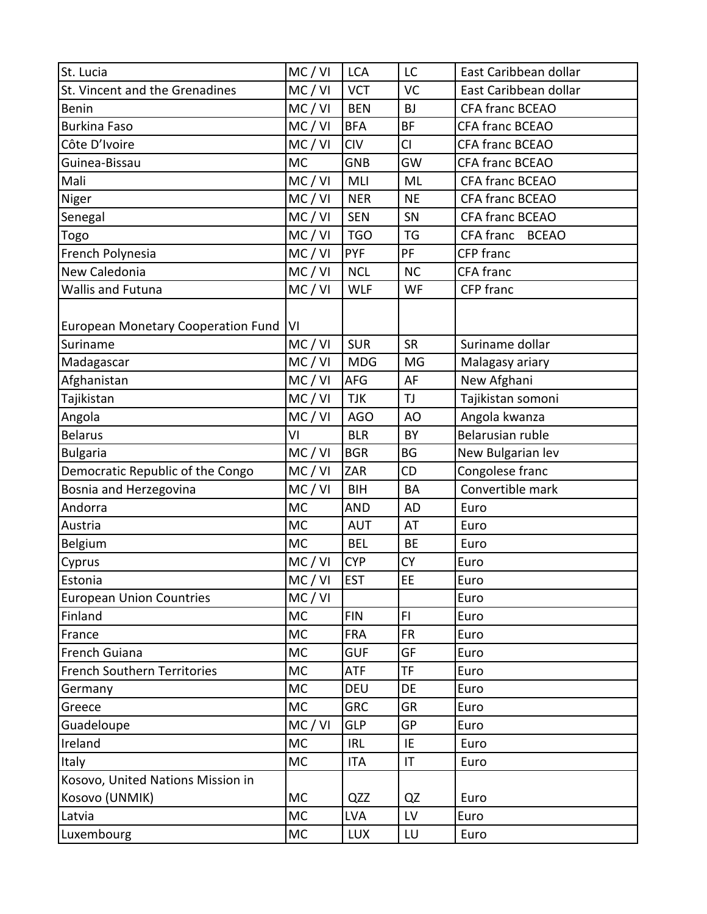| St. Lucia                                 | MC / VI   | <b>LCA</b> | LC                     | East Caribbean dollar     |
|-------------------------------------------|-----------|------------|------------------------|---------------------------|
| St. Vincent and the Grenadines            | MC / VI   | <b>VCT</b> | VC                     | East Caribbean dollar     |
| <b>Benin</b>                              | MC / VI   | <b>BEN</b> | <b>BJ</b>              | CFA franc BCEAO           |
| <b>Burkina Faso</b>                       | MC / VI   | <b>BFA</b> | BF                     | <b>CFA franc BCEAO</b>    |
| Côte D'Ivoire                             | MC/VI     | <b>CIV</b> | CI                     | CFA franc BCEAO           |
| Guinea-Bissau                             | <b>MC</b> | <b>GNB</b> | GW                     | CFA franc BCEAO           |
| Mali                                      | MC / VI   | MLI        | ML                     | CFA franc BCEAO           |
| Niger                                     | MC/VI     | <b>NER</b> | <b>NE</b>              | CFA franc BCEAO           |
| Senegal                                   | MC/VI     | <b>SEN</b> | SN                     | CFA franc BCEAO           |
| Togo                                      | MC / VI   | <b>TGO</b> | <b>TG</b>              | CFA franc<br><b>BCEAO</b> |
| French Polynesia                          | MC / VI   | <b>PYF</b> | PF                     | CFP franc                 |
| New Caledonia                             | MC/VI     | <b>NCL</b> | <b>NC</b>              | CFA franc                 |
| Wallis and Futuna                         | MC/VI     | <b>WLF</b> | WF                     | CFP franc                 |
|                                           |           |            |                        |                           |
| <b>European Monetary Cooperation Fund</b> | ΙVΙ       |            |                        |                           |
| Suriname                                  | MC/VI     | <b>SUR</b> | <b>SR</b>              | Suriname dollar           |
| Madagascar                                | MC / VI   | <b>MDG</b> | MG                     | Malagasy ariary           |
| Afghanistan                               | MC/VI     | AFG        | AF                     | New Afghani               |
| Tajikistan                                | MC / VI   | <b>TJK</b> | TJ                     | Tajikistan somoni         |
| Angola                                    | MC/VI     | <b>AGO</b> | AO                     | Angola kwanza             |
| <b>Belarus</b>                            | VI        | <b>BLR</b> | BY                     | Belarusian ruble          |
| <b>Bulgaria</b>                           | MC / VI   | <b>BGR</b> | BG                     | New Bulgarian lev         |
| Democratic Republic of the Congo          | MC / VI   | ZAR        | CD                     | Congolese franc           |
| Bosnia and Herzegovina                    | MC/VI     | <b>BIH</b> | <b>BA</b>              | Convertible mark          |
| Andorra                                   | <b>MC</b> | <b>AND</b> | <b>AD</b>              | Euro                      |
| Austria                                   | <b>MC</b> | <b>AUT</b> | AT                     | Euro                      |
| <b>Belgium</b>                            | <b>MC</b> | <b>BEL</b> | <b>BE</b>              | Euro                      |
| Cyprus                                    | MC/VI     | <b>CYP</b> | <b>CY</b>              | Euro                      |
| Estonia                                   | MC/VI     | <b>EST</b> | EE                     | Euro                      |
| <b>European Union Countries</b>           | MC / VI   |            |                        | Euro                      |
| Finland                                   | MC        | <b>FIN</b> | FI.                    | Euro                      |
| France                                    | MC        | <b>FRA</b> | <b>FR</b>              | Euro                      |
| French Guiana                             | МC        | <b>GUF</b> | GF                     | Euro                      |
| French Southern Territories               | <b>MC</b> | <b>ATF</b> | TF.                    | Euro                      |
| Germany                                   | МC        | DEU        | DE                     | Euro                      |
| Greece                                    | MC        | <b>GRC</b> | <b>GR</b>              | Euro                      |
| Guadeloupe                                | MC / VI   | <b>GLP</b> | <b>GP</b>              | Euro                      |
| Ireland                                   | <b>MC</b> | <b>IRL</b> | IE                     | Euro                      |
| Italy                                     | MC        | <b>ITA</b> | IT                     | Euro                      |
| Kosovo, United Nations Mission in         |           |            |                        |                           |
| Kosovo (UNMIK)                            | <b>MC</b> | QZZ        | QZ                     | Euro                      |
| Latvia                                    | <b>MC</b> | <b>LVA</b> | $\mathsf{L}\mathsf{V}$ | Euro                      |
| Luxembourg                                | МC        | <b>LUX</b> | LU                     | Euro                      |